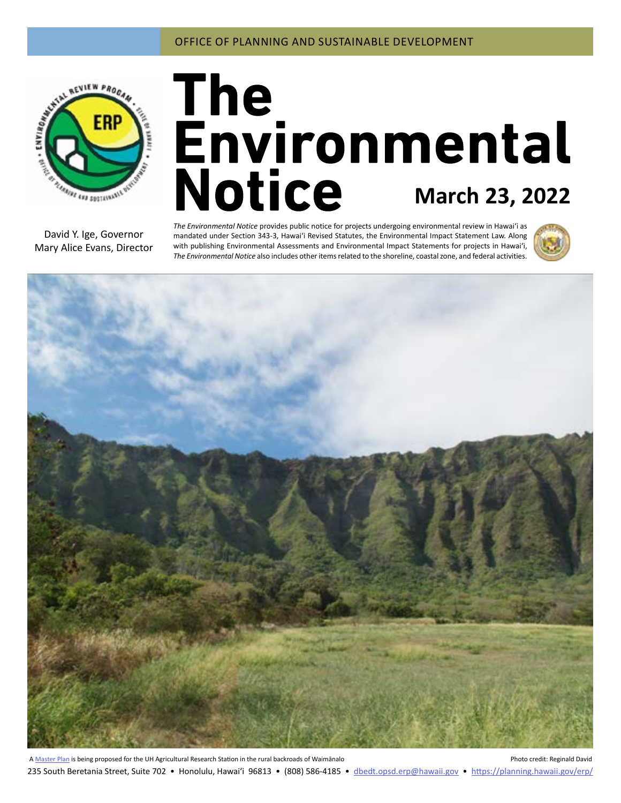

# **March 23, 2022**

David Y. Ige, Governor Mary Alice Evans, Director

*The Environmental Notice* provides public notice for projects undergoing environmental review in Hawaiʻi as mandated under Section 343-3, Hawaiʻi Revised Statutes, the Environmental Impact Statement Law. Along with publishing Environmental Assessments and Environmental Impact Statements for projects in Hawai'i, *The Environmental Notice* also includes other items related to the shoreline, coastal zone, and federal activities.





A [Master Plan](#page-3-0) is being proposed for the UH Agricultural Research Station in the rural backroads of Waimānalo **Photo Credit: Reginald David** Photo credit: Reginald David 235 South Beretania Street, Suite 702 • Honolulu, Hawai'i 96813 • (808) 586-4185 • dbedt.opsd.erp[@hawaii.gov](mailto:dbedt.opsd.erp%40hawaii.gov?subject=) • <https://planning.hawaii.gov/erp/>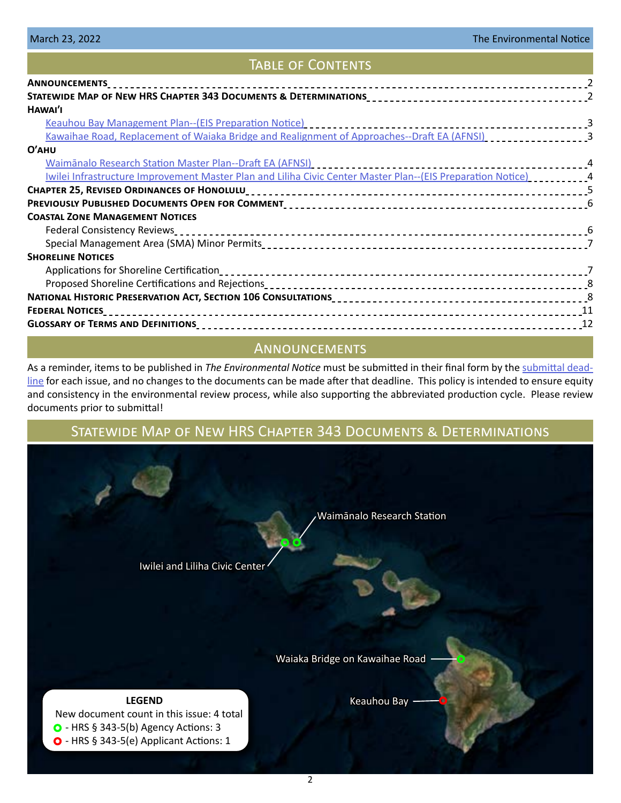## Table of Contents

| <b>ANNOUNCEMENTS</b>                                                                                           |  |
|----------------------------------------------------------------------------------------------------------------|--|
|                                                                                                                |  |
| HAWAI'I                                                                                                        |  |
|                                                                                                                |  |
| Kawaihae Road, Replacement of Waiaka Bridge and Realignment of Approaches--Draft EA (AFNSI) [1] [1] [1] [1] [3 |  |
| $O'$ AHU                                                                                                       |  |
|                                                                                                                |  |
| Iwilei Infrastructure Improvement Master Plan and Liliha Civic Center Master Plan--(EIS Preparation Notice)    |  |
|                                                                                                                |  |
|                                                                                                                |  |
| <b>COASTAL ZONE MANAGEMENT NOTICES</b>                                                                         |  |
|                                                                                                                |  |
|                                                                                                                |  |
| <b>SHORELINE NOTICES</b>                                                                                       |  |
|                                                                                                                |  |
|                                                                                                                |  |
|                                                                                                                |  |
|                                                                                                                |  |
|                                                                                                                |  |
|                                                                                                                |  |

## **ANNOUNCEMENTS**

As a reminder, items to be published in *The Environmental Notice* must be submitted in their final form by the [submittal dead](https://files.hawaii.gov/dbedt/erp/OEQC_Forms/2022-ERP-Publication-Calendar.pdf)[line](https://files.hawaii.gov/dbedt/erp/OEQC_Forms/2022-ERP-Publication-Calendar.pdf) for each issue, and no changes to the documents can be made after that deadline. This policy is intended to ensure equity and consistency in the environmental review process, while also supporting the abbreviated production cycle. Please review documents prior to submittal!

# Statewide Map of New HRS Chapter 343 Documents & Determinations

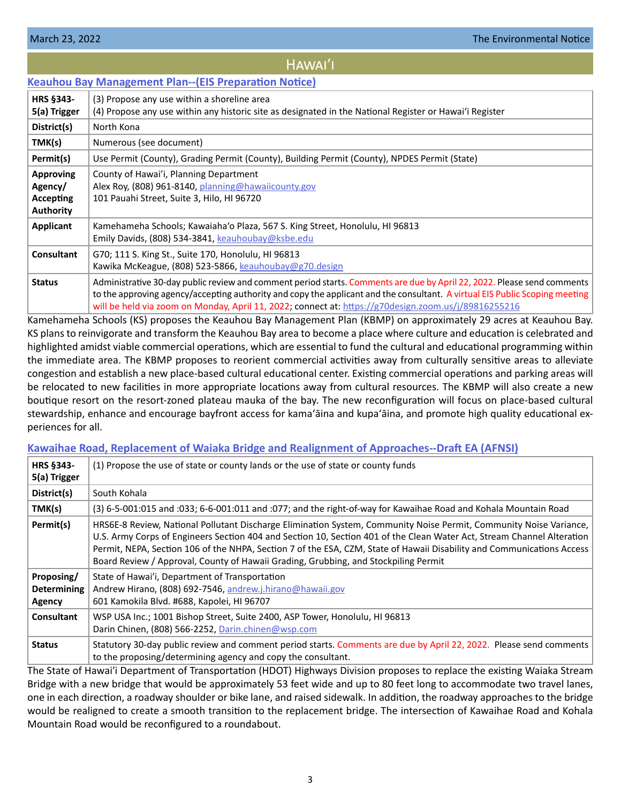## HAWAI'I

#### <span id="page-2-0"></span>**[Keauhou Bay Management Plan--\(EIS Preparation Notice\)](https://files.hawaii.gov/dbedt/erp/Doc_Library/2022-03-23-HA-EISPN-Keauhou-Bay-Management-Plan.pdf)**

| <b>HRS §343-</b><br>5(a) Trigger                             | (3) Propose any use within a shoreline area<br>(4) Propose any use within any historic site as designated in the National Register or Hawai'i Register                                                                                                                                                                                                         |
|--------------------------------------------------------------|----------------------------------------------------------------------------------------------------------------------------------------------------------------------------------------------------------------------------------------------------------------------------------------------------------------------------------------------------------------|
| District(s)                                                  | North Kona                                                                                                                                                                                                                                                                                                                                                     |
| TMK(s)                                                       | Numerous (see document)                                                                                                                                                                                                                                                                                                                                        |
| Permit(s)                                                    | Use Permit (County), Grading Permit (County), Building Permit (County), NPDES Permit (State)                                                                                                                                                                                                                                                                   |
| <b>Approving</b><br>Agency/<br>Accepting<br><b>Authority</b> | County of Hawai'i, Planning Department<br>Alex Roy, (808) 961-8140, planning@hawaiicounty.gov<br>101 Pauahi Street, Suite 3, Hilo, HI 96720                                                                                                                                                                                                                    |
| Applicant                                                    | Kamehameha Schools; Kawaiaha'o Plaza, 567 S. King Street, Honolulu, HI 96813<br>Emily Davids, (808) 534-3841, keauhoubay@ksbe.edu                                                                                                                                                                                                                              |
| <b>Consultant</b>                                            | G70; 111 S. King St., Suite 170, Honolulu, HI 96813<br>Kawika McKeague, (808) 523-5866, keauhoubay@g70.design                                                                                                                                                                                                                                                  |
| <b>Status</b>                                                | Administrative 30-day public review and comment period starts. Comments are due by April 22, 2022. Please send comments<br>to the approving agency/accepting authority and copy the applicant and the consultant. A virtual EIS Public Scoping meeting<br>will be held via zoom on Monday, April 11, 2022; connect at: https://g70design.zoom.us/j/89816255216 |

Kamehameha Schools (KS) proposes the Keauhou Bay Management Plan (KBMP) on approximately 29 acres at Keauhou Bay. KS plans to reinvigorate and transform the Keauhou Bay area to become a place where culture and education is celebrated and highlighted amidst viable commercial operations, which are essential to fund the cultural and educational programming within the immediate area. The KBMP proposes to reorient commercial activities away from culturally sensitive areas to alleviate congestion and establish a new place-based cultural educational center. Existing commercial operations and parking areas will be relocated to new facilities in more appropriate locations away from cultural resources. The KBMP will also create a new boutique resort on the resort-zoned plateau mauka of the bay. The new reconfiguration will focus on place-based cultural stewardship, enhance and encourage bayfront access for kamaʻāina and kupaʻāina, and promote high quality educational experiences for all.

#### **[Kawaihae Road, Replacement of Waiaka Bridge and Realignment of Approaches--Draft EA \(AFNSI\)](https://files.hawaii.gov/dbedt/erp/Doc_Library/2022-03-23-HA-DEA-Kawaihae-Road-Replacement-of-Waiaka-Bridge-and-Realignment-of-Approaches.pdf)**

| <b>HRS §343-</b><br>5(a) Trigger           | (1) Propose the use of state or county lands or the use of state or county funds                                                                                                                                                                                                                                                                                                                                                                              |
|--------------------------------------------|---------------------------------------------------------------------------------------------------------------------------------------------------------------------------------------------------------------------------------------------------------------------------------------------------------------------------------------------------------------------------------------------------------------------------------------------------------------|
| District(s)                                | South Kohala                                                                                                                                                                                                                                                                                                                                                                                                                                                  |
| TMK(s)                                     | (3) 6-5-001:015 and :033; 6-6-001:011 and :077; and the right-of-way for Kawaihae Road and Kohala Mountain Road                                                                                                                                                                                                                                                                                                                                               |
| Permit(s)                                  | HRS6E-8 Review, National Pollutant Discharge Elimination System, Community Noise Permit, Community Noise Variance,<br>U.S. Army Corps of Engineers Section 404 and Section 10, Section 401 of the Clean Water Act, Stream Channel Alteration<br>Permit, NEPA, Section 106 of the NHPA, Section 7 of the ESA, CZM, State of Hawaii Disability and Communications Access<br>Board Review / Approval, County of Hawaii Grading, Grubbing, and Stockpiling Permit |
| Proposing/<br><b>Determining</b><br>Agency | State of Hawai'i, Department of Transportation<br>Andrew Hirano, (808) 692-7546, andrew.j.hirano@hawaii.gov<br>601 Kamokila Blvd. #688, Kapolei, HI 96707                                                                                                                                                                                                                                                                                                     |
| <b>Consultant</b>                          | WSP USA Inc.; 1001 Bishop Street, Suite 2400, ASP Tower, Honolulu, HI 96813<br>Darin Chinen, (808) 566-2252, Darin.chinen@wsp.com                                                                                                                                                                                                                                                                                                                             |
| <b>Status</b>                              | Statutory 30-day public review and comment period starts. Comments are due by April 22, 2022. Please send comments<br>to the proposing/determining agency and copy the consultant.                                                                                                                                                                                                                                                                            |

The State of Hawai'i Department of Transportation (HDOT) Highways Division proposes to replace the existing Waiaka Stream Bridge with a new bridge that would be approximately 53 feet wide and up to 80 feet long to accommodate two travel lanes, one in each direction, a roadway shoulder or bike lane, and raised sidewalk. In addition, the roadway approaches to the bridge would be realigned to create a smooth transition to the replacement bridge. The intersection of Kawaihae Road and Kohala Mountain Road would be reconfigured to a roundabout.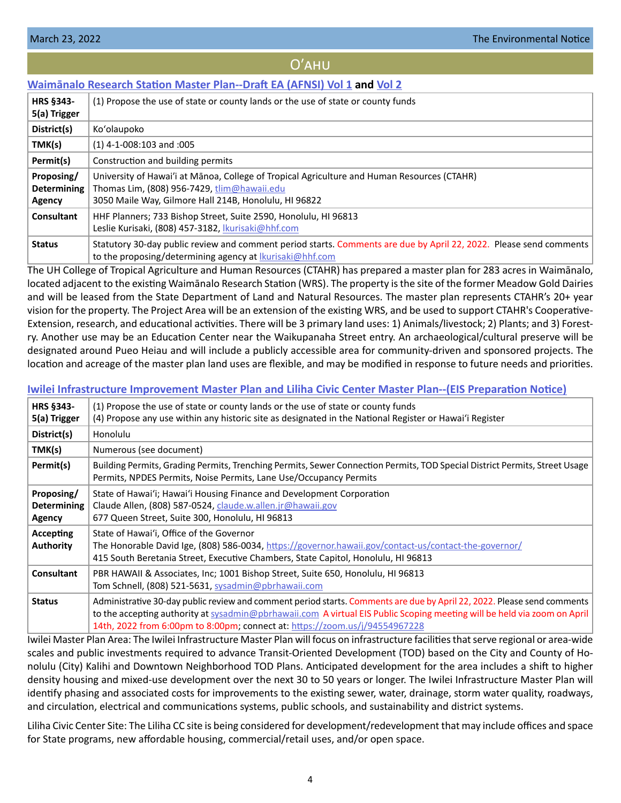#### Oʹahu

## <span id="page-3-0"></span>**[Waimānalo Research Station Master Plan--Draft EA \(AFNSI\) Vol 1](https://files.hawaii.gov/dbedt/erp/Doc_Library/2022-03-23-OA-DEA-Waimanalo-Research-Station-Master-Plan-Vol-1.pdf) and [Vol 2](https://files.hawaii.gov/dbedt/erp/Doc_Library/2022-03-23-OA-DEA-Waimanalo-Research-Station-Master-Plan-Vol-2.pdf)**

| <b>HRS §343-</b><br>5(a) Trigger           | (1) Propose the use of state or county lands or the use of state or county funds                                                                                                                              |
|--------------------------------------------|---------------------------------------------------------------------------------------------------------------------------------------------------------------------------------------------------------------|
| District(s)                                | Ko'olaupoko                                                                                                                                                                                                   |
| TMK(s)                                     | $(1)$ 4-1-008:103 and :005                                                                                                                                                                                    |
| Permit(s)                                  | Construction and building permits                                                                                                                                                                             |
| Proposing/<br><b>Determining</b><br>Agency | University of Hawai'i at Mānoa, College of Tropical Agriculture and Human Resources (CTAHR)<br>Thomas Lim, (808) 956-7429, $\lim(\omega)$ hawaii.edu<br>3050 Maile Way, Gilmore Hall 214B, Honolulu, HI 96822 |
| Consultant                                 | HHF Planners; 733 Bishop Street, Suite 2590, Honolulu, HI 96813<br>Leslie Kurisaki, (808) 457-3182, Ikurisaki@hhf.com                                                                                         |
| <b>Status</b>                              | Statutory 30-day public review and comment period starts. Comments are due by April 22, 2022. Please send comments<br>to the proposing/determining agency at <i>lkurisaki@hhf.com</i>                         |

The UH College of Tropical Agriculture and Human Resources (CTAHR) has prepared a master plan for 283 acres in Waimānalo, located adjacent to the existing Waimānalo Research Station (WRS). The property is the site of the former Meadow Gold Dairies and will be leased from the State Department of Land and Natural Resources. The master plan represents CTAHR's 20+ year vision for the property. The Project Area will be an extension of the existing WRS, and be used to support CTAHR's Cooperative-Extension, research, and educational activities. There will be 3 primary land uses: 1) Animals/livestock; 2) Plants; and 3) Forestry. Another use may be an Education Center near the Waikupanaha Street entry. An archaeological/cultural preserve will be designated around Pueo Heiau and will include a publicly accessible area for community-driven and sponsored projects. The location and acreage of the master plan land uses are flexible, and may be modified in response to future needs and priorities.

#### **[Iwilei Infrastructure Improvement Master Plan and Liliha Civic Center Master Plan--\(EIS Preparation Notice\)](https://files.hawaii.gov/dbedt/erp/Doc_Library/2022-03-23-OA-EISPN-Iwilei-Infrastructure-Improvement-MP-and-Liliha-Civic-Center-MP.pdf)**

| <b>HRS §343-</b><br>5(a) Trigger           | (1) Propose the use of state or county lands or the use of state or county funds<br>(4) Propose any use within any historic site as designated in the National Register or Hawai'i Register                                                                                                                                        |
|--------------------------------------------|------------------------------------------------------------------------------------------------------------------------------------------------------------------------------------------------------------------------------------------------------------------------------------------------------------------------------------|
| District(s)                                | Honolulu                                                                                                                                                                                                                                                                                                                           |
| TMK(s)                                     | Numerous (see document)                                                                                                                                                                                                                                                                                                            |
| Permit(s)                                  | Building Permits, Grading Permits, Trenching Permits, Sewer Connection Permits, TOD Special District Permits, Street Usage<br>Permits, NPDES Permits, Noise Permits, Lane Use/Occupancy Permits                                                                                                                                    |
| Proposing/<br><b>Determining</b><br>Agency | State of Hawai'i; Hawai'i Housing Finance and Development Corporation<br>Claude Allen, (808) 587-0524, claude.w.allen.jr@hawaii.gov<br>677 Queen Street, Suite 300, Honolulu, HI 96813                                                                                                                                             |
| Accepting<br><b>Authority</b>              | State of Hawai'i, Office of the Governor<br>The Honorable David Ige, (808) 586-0034, https://governor.hawaii.gov/contact-us/contact-the-governor/<br>415 South Beretania Street, Executive Chambers, State Capitol, Honolulu, HI 96813                                                                                             |
| <b>Consultant</b>                          | PBR HAWAII & Associates, Inc; 1001 Bishop Street, Suite 650, Honolulu, HI 96813<br>Tom Schnell, (808) 521-5631, sysadmin@pbrhawaii.com                                                                                                                                                                                             |
| <b>Status</b>                              | Administrative 30-day public review and comment period starts. Comments are due by April 22, 2022. Please send comments<br>to the accepting authority at sysadmin@pbrhawaii.com A virtual EIS Public Scoping meeting will be held via zoom on April<br>14th, 2022 from 6:00pm to 8:00pm; connect at: https://zoom.us/j/94554967228 |

Iwilei Master Plan Area: The Iwilei Infrastructure Master Plan will focus on infrastructure facilities that serve regional or area-wide scales and public investments required to advance Transit-Oriented Development (TOD) based on the City and County of Honolulu (City) Kalihi and Downtown Neighborhood TOD Plans. Anticipated development for the area includes a shift to higher density housing and mixed-use development over the next 30 to 50 years or longer. The Iwilei Infrastructure Master Plan will identify phasing and associated costs for improvements to the existing sewer, water, drainage, storm water quality, roadways, and circulation, electrical and communications systems, public schools, and sustainability and district systems.

Liliha Civic Center Site: The Liliha CC site is being considered for development/redevelopment that may include offices and space for State programs, new affordable housing, commercial/retail uses, and/or open space.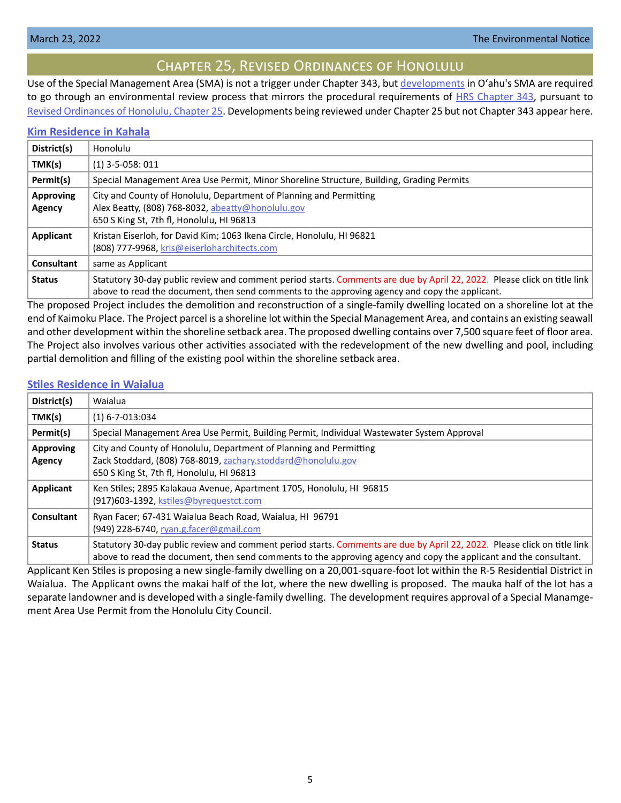# Chapter 25, Revised Ordinances of Honolulu

<span id="page-4-0"></span>Use of the Special Management Area (SMA) is not a trigger under Chapter 343, but [developments](https://www.honolulu.gov/rep/site/ocs/roh/ROH_Chapter_25_article_1_12.pdf) in Oʻahu's SMA are required to go through an environmental review process that mirrors the procedural requirements of [HRS Chapter 343](https://www.capitol.hawaii.gov/hrscurrent/Vol06_Ch0321-0344/HRS0343/HRS_0343-.htm), pursuant to [Revised Ordinances of Honolulu, Chapter 25.](https://www.honolulu.gov/rep/site/ocs/roh/ROH_Chapter_25_article_1_12.pdf) Developments being reviewed under Chapter 25 but not Chapter 343 appear here.

#### **[Kim Residence in Kahala](https://files.hawaii.gov/dbedt/erp/Other_TEN_Publications/2022-03-23-OA-Chapter-25-DEA-Kim-Residence-in-Kahala.pdf)**

| District(s)                | Honolulu                                                                                                                                                                                                                   |
|----------------------------|----------------------------------------------------------------------------------------------------------------------------------------------------------------------------------------------------------------------------|
| TMK(s)                     | $(1)$ 3-5-058: 011                                                                                                                                                                                                         |
| Permit(s)                  | Special Management Area Use Permit, Minor Shoreline Structure, Building, Grading Permits                                                                                                                                   |
| <b>Approving</b><br>Agency | City and County of Honolulu, Department of Planning and Permitting<br>Alex Beatty, (808) 768-8032, abeatty@honolulu.gov<br>650 S King St, 7th fl, Honolulu, HI 96813                                                       |
| Applicant                  | Kristan Eiserloh, for David Kim; 1063 Ikena Circle, Honolulu, HI 96821<br>(808) 777-9968, kris@eiserloharchitects.com                                                                                                      |
| Consultant                 | same as Applicant                                                                                                                                                                                                          |
| <b>Status</b>              | Statutory 30-day public review and comment period starts. Comments are due by April 22, 2022. Please click on title link<br>above to read the document, then send comments to the approving agency and copy the applicant. |

The proposed Project includes the demolition and reconstruction of a single-family dwelling located on a shoreline lot at the end of Kaimoku Place. The Project parcel is a shoreline lot within the Special Management Area, and contains an existing seawall and other development within the shoreline setback area. The proposed dwelling contains over 7,500 square feet of floor area. The Project also involves various other activities associated with the redevelopment of the new dwelling and pool, including partial demolition and filling of the existing pool within the shoreline setback area.

#### **[Stiles Residence in Waialua](https://files.hawaii.gov/dbedt/erp/Other_TEN_Publications/2022-03-23-OA-Chapter-25-DEA-Stiles-Residence-in-Waialua.pdf)**

| District(s)                | Waialua                                                                                                                                                                                                                                       |
|----------------------------|-----------------------------------------------------------------------------------------------------------------------------------------------------------------------------------------------------------------------------------------------|
| TMK(s)                     | $(1)$ 6-7-013:034                                                                                                                                                                                                                             |
| Permit(s)                  | Special Management Area Use Permit, Building Permit, Individual Wastewater System Approval                                                                                                                                                    |
| <b>Approving</b><br>Agency | City and County of Honolulu, Department of Planning and Permitting<br>Zack Stoddard, (808) 768-8019, zachary.stoddard@honolulu.gov<br>650 S King St, 7th fl, Honolulu, HI 96813                                                               |
| Applicant                  | Ken Stiles; 2895 Kalakaua Avenue, Apartment 1705, Honolulu, HI 96815<br>(917)603-1392, kstiles@byrequestct.com                                                                                                                                |
| <b>Consultant</b>          | Ryan Facer; 67-431 Waialua Beach Road, Waialua, HI 96791<br>(949) 228-6740, ryan.g.facer@gmail.com                                                                                                                                            |
| <b>Status</b>              | Statutory 30-day public review and comment period starts. Comments are due by April 22, 2022. Please click on title link<br>above to read the document, then send comments to the approving agency and copy the applicant and the consultant. |

Applicant Ken Stiles is proposing a new single-family dwelling on a 20,001-square-foot lot within the R-5 Residential District in Waialua. The Applicant owns the makai half of the lot, where the new dwelling is proposed. The mauka half of the lot has a separate landowner and is developed with a single-family dwelling. The development requires approval of a Special Manamgement Area Use Permit from the Honolulu City Council.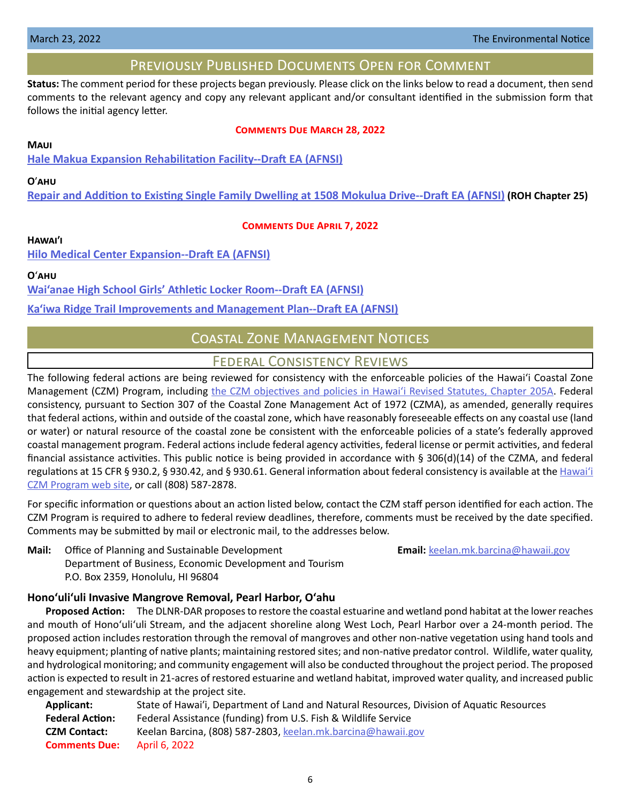## Previously Published Documents Open for Comment

<span id="page-5-0"></span>**Status:** The comment period for these projects began previously. Please click on the links below to read a document, then send comments to the relevant agency and copy any relevant applicant and/or consultant identified in the submission form that follows the initial agency letter.

#### **Comments Due March 28, 2022**

#### **Maui**

**[Hale Makua Expansion Rehabilitation Facility--Draft EA \(AFNSI\)](https://files.hawaii.gov/dbedt/erp/Doc_Library/2022-02-23-MA-DEA-Hale-Makua-Expansion-Rehabilitation-Facility.pdf)**

#### **O**ʹ**ahu**

**[Repair and Addition to Existing Single Family Dwelling at 1508 Mokulua Drive--Draft EA \(AFNSI\)](https://files.hawaii.gov/dbedt/erp/Other_TEN_Publications/2022-02-23-OA-Chapter-25-DEA-Repair-and-Addition-to-Existing-SFR-1508-Mokulua-Dr.pdf) (ROH Chapter 25)**

#### **Comments Due April 7, 2022**

#### **Hawaiʹi**

**[Hilo Medical Center Expansion--Draft EA \(AFNSI\)](https://files.hawaii.gov/dbedt/erp/Doc_Library/2022-03-08-HA-DEA-Hilo-Medical-Center-Expansion.pdf)**

**O**ʻ**ahu**

**[Wai'anae High School Girls' Athletic Locker Room--Draft EA \(AFNSI\)](https://files.hawaii.gov/dbedt/erp/Doc_Library/2022-03-08-OA-DEA-Waianae-High-School-Girls-Athletic-Locker-Room.pdf)**

**[Ka'iwa Ridge Trail Improvements and Management Plan--Draft EA \(AFNSI\)](https://files.hawaii.gov/dbedt/erp/Doc_Library/2022-03-08-OA-DEA-Kaiwa-Ridge-Trail-Improvements-and-Management-Plan.pdf)**

# Coastal Zone Management Notices

## Federal Consistency Reviews

The following federal actions are being reviewed for consistency with the enforceable policies of the Hawaiʻi Coastal Zone Management (CZM) Program, including [the CZM objectives and policies in Hawaiʻi Revised Statutes, Chapter 205A.](https://www.capitol.hawaii.gov/hrscurrent/Vol04_Ch0201-0257/HRS0205A/HRS_0205A-0002.htm) Federal consistency, pursuant to Section 307 of the Coastal Zone Management Act of 1972 (CZMA), as amended, generally requires that federal actions, within and outside of the coastal zone, which have reasonably foreseeable effects on any coastal use (land or water) or natural resource of the coastal zone be consistent with the enforceable policies of a state's federally approved coastal management program. Federal actions include federal agency activities, federal license or permit activities, and federal financial assistance activities. This public notice is being provided in accordance with § 306(d)(14) of the CZMA, and federal regulations at 15 CFR § 930.2, § 930.42, and § 930.61. General information about federal consistency is available at the [Hawai](http://planning.hawaii.gov/czm/federal-consistency/)ʻi [CZM Program web site,](http://planning.hawaii.gov/czm/federal-consistency/) or call (808) 587-2878.

For specific information or questions about an action listed below, contact the CZM staff person identified for each action. The CZM Program is required to adhere to federal review deadlines, therefore, comments must be received by the date specified. Comments may be submitted by mail or electronic mail, to the addresses below.

**Mail:** Office of Planning and Sustainable Development **Email:** [keelan.mk.barcina@hawaii.gov](mailto:keelan.mk.barcina%40hawaii.gov?subject=) Department of Business, Economic Development and Tourism P.O. Box 2359, Honolulu, HI 96804

#### **Honoʻuliʻuli Invasive Mangrove Removal, Pearl Harbor, Oʻahu**

**Proposed Action:** The DLNR-DAR proposes to restore the coastal estuarine and wetland pond habitat at the lower reaches and mouth of Honoʻuliʻuli Stream, and the adjacent shoreline along West Loch, Pearl Harbor over a 24-month period. The proposed action includes restoration through the removal of mangroves and other non-native vegetation using hand tools and heavy equipment; planting of native plants; maintaining restored sites; and non-native predator control. Wildlife, water quality, and hydrological monitoring; and community engagement will also be conducted throughout the project period. The proposed action is expected to result in 21-acres of restored estuarine and wetland habitat, improved water quality, and increased public engagement and stewardship at the project site.

| State of Hawai'i, Department of Land and Natural Resources, Division of Aquatic Resources |
|-------------------------------------------------------------------------------------------|
| Federal Assistance (funding) from U.S. Fish & Wildlife Service                            |
| Keelan Barcina, (808) 587-2803, keelan.mk.barcina@hawaii.gov                              |
| April 6, 2022                                                                             |
|                                                                                           |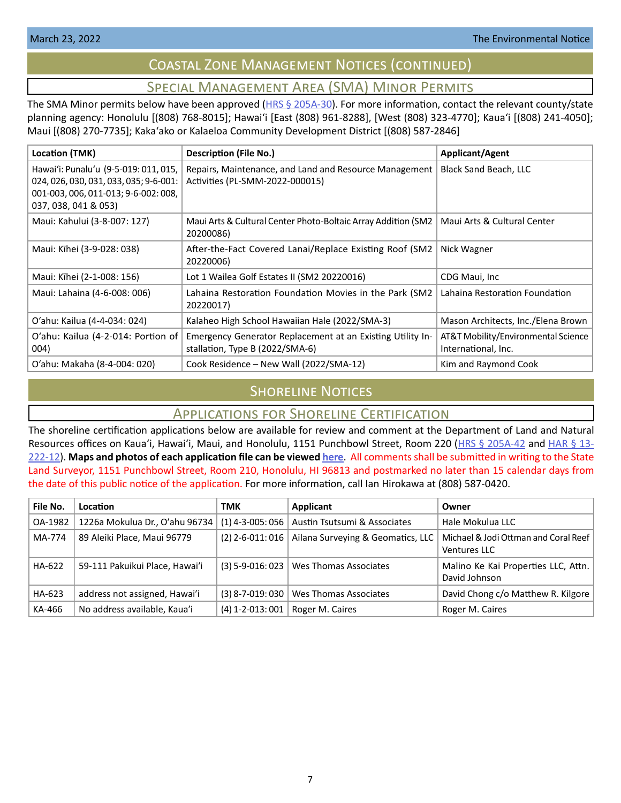# Coastal Zone Management Notices (continued)

# Special Management Area (SMA) Minor Permits

<span id="page-6-0"></span>The SMA Minor permits below have been approved ( $HRS \$   $205A-30$ ). For more information, contact the relevant county/state planning agency: Honolulu [(808) 768-8015]; Hawaiʻi [East (808) 961-8288], [West (808) 323-4770]; Kauaʻi [(808) 241-4050]; Maui [(808) 270-7735]; Kakaʻako or Kalaeloa Community Development District [(808) 587-2846]

| Location (TMK)                                                                                                                                  | <b>Description (File No.)</b>                                                                 | <b>Applicant/Agent</b>                                     |
|-------------------------------------------------------------------------------------------------------------------------------------------------|-----------------------------------------------------------------------------------------------|------------------------------------------------------------|
| Hawai'i: Punalu'u (9-5-019: 011, 015,<br>024, 026, 030, 031, 033, 035; 9-6-001:<br>001-003, 006, 011-013; 9-6-002: 008,<br>037, 038, 041 & 053) | Repairs, Maintenance, and Land and Resource Management<br>Activities (PL-SMM-2022-000015)     | Black Sand Beach, LLC                                      |
| Maui: Kahului (3-8-007: 127)                                                                                                                    | Maui Arts & Cultural Center Photo-Boltaic Array Addition (SM2)<br>20200086)                   | Maui Arts & Cultural Center                                |
| Maui: Kīhei (3-9-028: 038)                                                                                                                      | After-the-Fact Covered Lanai/Replace Existing Roof (SM2<br>20220006)                          | Nick Wagner                                                |
| Maui: Kīhei (2-1-008: 156)                                                                                                                      | Lot 1 Wailea Golf Estates II (SM2 20220016)                                                   | CDG Maui, Inc.                                             |
| Maui: Lahaina (4-6-008: 006)                                                                                                                    | Lahaina Restoration Foundation Movies in the Park (SM2<br>20220017)                           | Lahaina Restoration Foundation                             |
| O'ahu: Kailua (4-4-034: 024)                                                                                                                    | Kalaheo High School Hawaiian Hale (2022/SMA-3)                                                | Mason Architects, Inc./Elena Brown                         |
| O'ahu: Kailua (4-2-014: Portion of<br>004)                                                                                                      | Emergency Generator Replacement at an Existing Utility In-<br>stallation, Type B (2022/SMA-6) | AT&T Mobility/Environmental Science<br>International, Inc. |
| O'ahu: Makaha (8-4-004: 020)                                                                                                                    | Cook Residence - New Wall (2022/SMA-12)                                                       | Kim and Raymond Cook                                       |

# **SHORELINE NOTICES**

# Applications for Shoreline Certification

The shoreline certification applications below are available for review and comment at the Department of Land and Natural Resources offices on Kaua'i, Hawai'i, Maui, and Honolulu, 1151 Punchbowl Street, Room 220 ([HRS § 205A-42](https://www.capitol.hawaii.gov/hrscurrent/Vol04_Ch0201-0257/HRS0205A/HRS_0205A-0042.htm) and [HAR § 13-](https://dlnr.hawaii.gov/ld/files/2013/07/Ch13-222-Amend-Compil-Stand-Rev1.pdf) [222-12](https://dlnr.hawaii.gov/ld/files/2013/07/Ch13-222-Amend-Compil-Stand-Rev1.pdf)). **Maps and photos of each application file can be viewed [here](https://ags.hawaii.gov/survey/shoreline/#apps)**. All comments shall be submitted in writing to the State Land Surveyor, 1151 Punchbowl Street, Room 210, Honolulu, HI 96813 and postmarked no later than 15 calendar days from the date of this public notice of the application. For more information, call Ian Hirokawa at (808) 587-0420.

| File No. | Location                       | TMK                | Applicant                         | Owner                                                       |
|----------|--------------------------------|--------------------|-----------------------------------|-------------------------------------------------------------|
| OA-1982  | 1226a Mokulua Dr., O'ahu 96734 | $(1)$ 4-3-005: 056 | Austin Tsutsumi & Associates      | Hale Mokulua LLC                                            |
| MA-774   | 89 Aleiki Place, Maui 96779    | $(2)$ 2-6-011:016  | Ailana Surveying & Geomatics, LLC | Michael & Jodi Ottman and Coral Reef<br><b>Ventures LLC</b> |
| HA-622   | 59-111 Pakuikui Place, Hawai'i | $(3)$ 5-9-016: 023 | Wes Thomas Associates             | Malino Ke Kai Properties LLC, Attn.<br>David Johnson        |
| HA-623   | address not assigned, Hawai'i  | $(3)$ 8-7-019: 030 | Wes Thomas Associates             | David Chong c/o Matthew R. Kilgore                          |
| KA-466   | No address available, Kaua'i   | $(4)$ 1-2-013:001  | Roger M. Caires                   | Roger M. Caires                                             |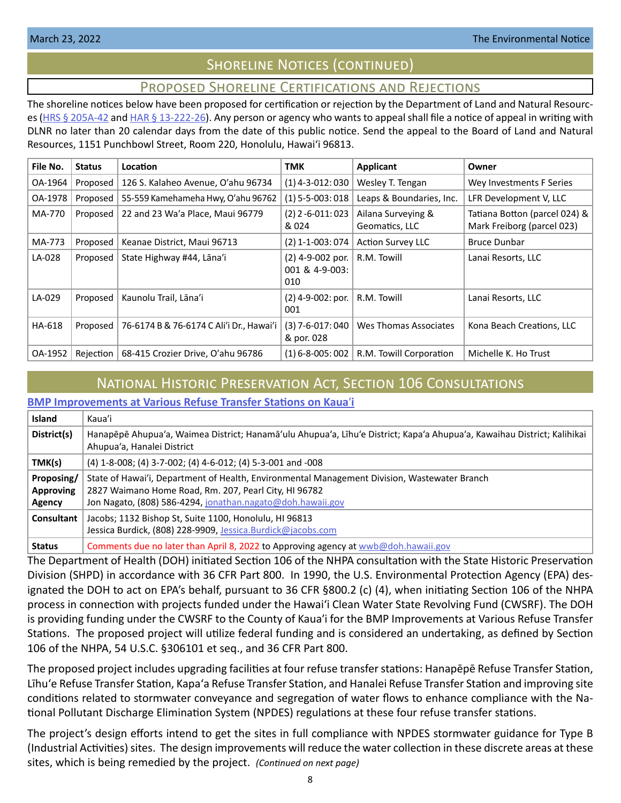# Shoreline Notices (continued)

# Proposed Shoreline Certifications and Rejections

<span id="page-7-0"></span>The shoreline notices below have been proposed for certification or rejection by the Department of Land and Natural Resourc-es [\(HRS § 205A-42](http://HRS § 205A-42) and [HAR § 13-222-26\)](https://dlnr.hawaii.gov/ld/files/2013/07/Ch13-222-Amend-Compil-Stand-Rev1.pdf). Any person or agency who wants to appeal shall file a notice of appeal in writing with DLNR no later than 20 calendar days from the date of this public notice. Send the appeal to the Board of Land and Natural Resources, 1151 Punchbowl Street, Room 220, Honolulu, Hawai'i 96813.

| File No. | <b>Status</b> | <b>Location</b>                          | TMK                                       | <b>Applicant</b>                     | Owner                                                       |
|----------|---------------|------------------------------------------|-------------------------------------------|--------------------------------------|-------------------------------------------------------------|
| OA-1964  | Proposed      | 126 S. Kalaheo Avenue, O'ahu 96734       | $(1)$ 4-3-012: 030                        | Wesley T. Tengan                     | Wey Investments F Series                                    |
| OA-1978  | Proposed      | 55-559 Kamehameha Hwy, O'ahu 96762       | $(1)$ 5-5-003: 018                        | Leaps & Boundaries, Inc.             | LFR Development V, LLC                                      |
| MA-770   | Proposed      | 22 and 23 Wa'a Place, Maui 96779         | $(2)$ 2 -6-011:023<br>& 024               | Ailana Surveying &<br>Geomatics, LLC | Tatiana Botton (parcel 024) &<br>Mark Freiborg (parcel 023) |
| MA-773   | Proposed      | Keanae District, Maui 96713              | (2) 1-1-003: 074                          | <b>Action Survey LLC</b>             | <b>Bruce Dunbar</b>                                         |
| LA-028   | Proposed      | State Highway #44, Lāna'i                | (2) 4-9-002 por.<br>001 & 4-9-003:<br>010 | R.M. Towill                          | Lanai Resorts, LLC                                          |
| LA-029   | Proposed      | Kaunolu Trail, Lāna'i                    | $(2)$ 4-9-002: por.<br>001                | R.M. Towill                          | Lanai Resorts, LLC                                          |
| HA-618   | Proposed      | 76-6174 B & 76-6174 C Ali'i Dr., Hawai'i | $(3)$ 7-6-017: 040<br>& por. 028          | Wes Thomas Associates                | Kona Beach Creations, LLC                                   |
| OA-1952  | Rejection     | 68-415 Crozier Drive, O'ahu 96786        | $(1)$ 6-8-005: 002                        | R.M. Towill Corporation              | Michelle K. Ho Trust                                        |

# National Historic Preservation Act, Section 106 Consultations

## **[BMP Improvements at Various Refuse Transfer Stations on Kaua](https://files.hawaii.gov/dbedt/erp/Other_TEN_Publications/2022-03-23-KA-Section-106-BMP-Improvements-at-Various-Refuse-Transfer-Stations-on-Kauai.pdf)**ʹ**i**

| <b>Island</b>                            | Kaua'i                                                                                                                                                                                                              |
|------------------------------------------|---------------------------------------------------------------------------------------------------------------------------------------------------------------------------------------------------------------------|
| District(s)                              | Hanapēpē Ahupua'a, Waimea District; Hanamā'ulu Ahupua'a, Līhu'e District; Kapa'a Ahupua'a, Kawaihau District; Kalihikai<br>Ahupua'a, Hanalei District                                                               |
| TMK(s)                                   | (4) 1-8-008; (4) 3-7-002; (4) 4-6-012; (4) 5-3-001 and -008                                                                                                                                                         |
| Proposing/<br><b>Approving</b><br>Agency | State of Hawai'i, Department of Health, Environmental Management Division, Wastewater Branch<br>2827 Waimano Home Road, Rm. 207, Pearl City, HI 96782<br>Jon Nagato, (808) 586-4294, jonathan.nagato@doh.hawaii.gov |
| <b>Consultant</b>                        | Jacobs; 1132 Bishop St, Suite 1100, Honolulu, HI 96813<br>Jessica Burdick, (808) 228-9909, Jessica.Burdick@jacobs.com                                                                                               |
| <b>Status</b>                            | Comments due no later than April 8, 2022 to Approving agency at wwb@doh.hawaii.gov                                                                                                                                  |

The Department of Health (DOH) initiated Section 106 of the NHPA consultation with the State Historic Preservation Division (SHPD) in accordance with 36 CFR Part 800. In 1990, the U.S. Environmental Protection Agency (EPA) designated the DOH to act on EPA's behalf, pursuant to 36 CFR §800.2 (c) (4), when initiating Section 106 of the NHPA process in connection with projects funded under the Hawai'i Clean Water State Revolving Fund (CWSRF). The DOH is providing funding under the CWSRF to the County of Kauaʹi for the BMP Improvements at Various Refuse Transfer Stations. The proposed project will utilize federal funding and is considered an undertaking, as defined by Section 106 of the NHPA, 54 U.S.C. §306101 et seq., and 36 CFR Part 800.

The proposed project includes upgrading facilities at four refuse transfer stations: Hanapēpē Refuse Transfer Station, Līhuʻe Refuse Transfer Station, Kapaʻa Refuse Transfer Station, and Hanalei Refuse Transfer Station and improving site conditions related to stormwater conveyance and segregation of water flows to enhance compliance with the National Pollutant Discharge Elimination System (NPDES) regulations at these four refuse transfer stations.

The project's design efforts intend to get the sites in full compliance with NPDES stormwater guidance for Type B (Industrial Activities) sites. The design improvements will reduce the water collection in these discrete areas at these sites, which is being remedied by the project. *(Continued on next page)*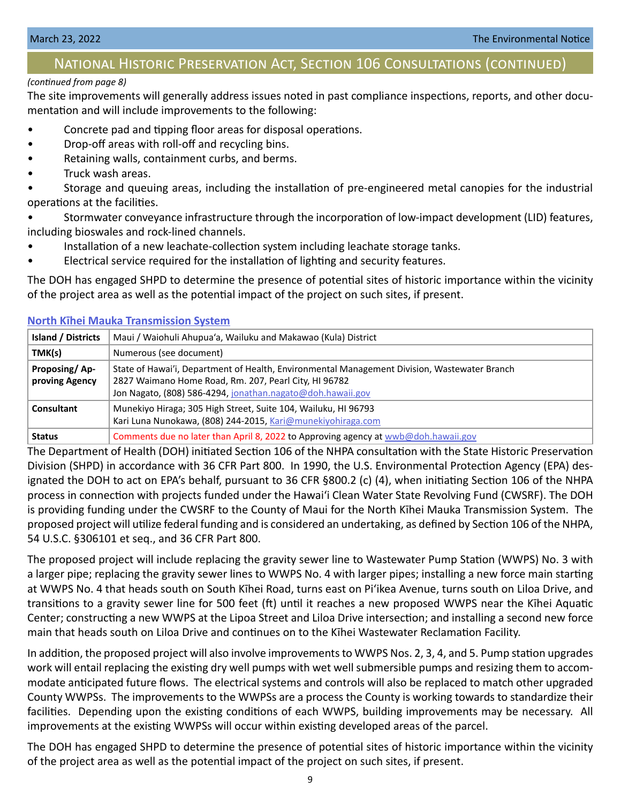# National Historic Preservation Act, Section 106 Consultations (continued)

#### *(continued from page 8)*

The site improvements will generally address issues noted in past compliance inspections, reports, and other documentation and will include improvements to the following:

- Concrete pad and tipping floor areas for disposal operations.
- Drop-off areas with roll-off and recycling bins.
- Retaining walls, containment curbs, and berms.
- Truck wash areas.

• Storage and queuing areas, including the installation of pre-engineered metal canopies for the industrial operations at the facilities.

• Stormwater conveyance infrastructure through the incorporation of low-impact development (LID) features, including bioswales and rock-lined channels.

- Installation of a new leachate-collection system including leachate storage tanks.
- Electrical service required for the installation of lighting and security features.

The DOH has engaged SHPD to determine the presence of potential sites of historic importance within the vicinity of the project area as well as the potential impact of the project on such sites, if present.

| <b>Island / Districts</b>       | Maui / Waiohuli Ahupua'a, Wailuku and Makawao (Kula) District                                                                                                                                                       |
|---------------------------------|---------------------------------------------------------------------------------------------------------------------------------------------------------------------------------------------------------------------|
| TMK(s)                          | Numerous (see document)                                                                                                                                                                                             |
| Proposing/Ap-<br>proving Agency | State of Hawai'i, Department of Health, Environmental Management Division, Wastewater Branch<br>2827 Waimano Home Road, Rm. 207, Pearl City, HI 96782<br>Jon Nagato, (808) 586-4294, jonathan.nagato@doh.hawaii.gov |
| Consultant                      | Munekiyo Hiraga; 305 High Street, Suite 104, Wailuku, HI 96793<br>Kari Luna Nunokawa, (808) 244-2015, Kari@munekiyohiraga.com                                                                                       |
| <b>Status</b>                   | Comments due no later than April 8, 2022 to Approving agency at wwb@doh.hawaii.gov                                                                                                                                  |

**North K[īhei Mauka Transmission System](https://files.hawaii.gov/dbedt/erp/Other_TEN_Publications/2022-03-23-MA-Section-106-North-Kihei-Mauka-Transmission-System.pdf)**

The Department of Health (DOH) initiated Section 106 of the NHPA consultation with the State Historic Preservation Division (SHPD) in accordance with 36 CFR Part 800. In 1990, the U.S. Environmental Protection Agency (EPA) designated the DOH to act on EPA's behalf, pursuant to 36 CFR §800.2 (c) (4), when initiating Section 106 of the NHPA process in connection with projects funded under the Hawai'i Clean Water State Revolving Fund (CWSRF). The DOH is providing funding under the CWSRF to the County of Maui for the North Kīhei Mauka Transmission System. The proposed project will utilize federal funding and is considered an undertaking, as defined by Section 106 of the NHPA, 54 U.S.C. §306101 et seq., and 36 CFR Part 800.

The proposed project will include replacing the gravity sewer line to Wastewater Pump Station (WWPS) No. 3 with a larger pipe; replacing the gravity sewer lines to WWPS No. 4 with larger pipes; installing a new force main starting at WWPS No. 4 that heads south on South Kīhei Road, turns east on Piʻikea Avenue, turns south on Liloa Drive, and transitions to a gravity sewer line for 500 feet (ft) until it reaches a new proposed WWPS near the Kīhei Aquatic Center; constructing a new WWPS at the Lipoa Street and Liloa Drive intersection; and installing a second new force main that heads south on Liloa Drive and continues on to the Kīhei Wastewater Reclamation Facility.

In addition, the proposed project will also involve improvements to WWPS Nos. 2, 3, 4, and 5. Pump station upgrades work will entail replacing the existing dry well pumps with wet well submersible pumps and resizing them to accommodate anticipated future flows. The electrical systems and controls will also be replaced to match other upgraded County WWPSs. The improvements to the WWPSs are a process the County is working towards to standardize their facilities. Depending upon the existing conditions of each WWPS, building improvements may be necessary. All improvements at the existing WWPSs will occur within existing developed areas of the parcel.

The DOH has engaged SHPD to determine the presence of potential sites of historic importance within the vicinity of the project area as well as the potential impact of the project on such sites, if present.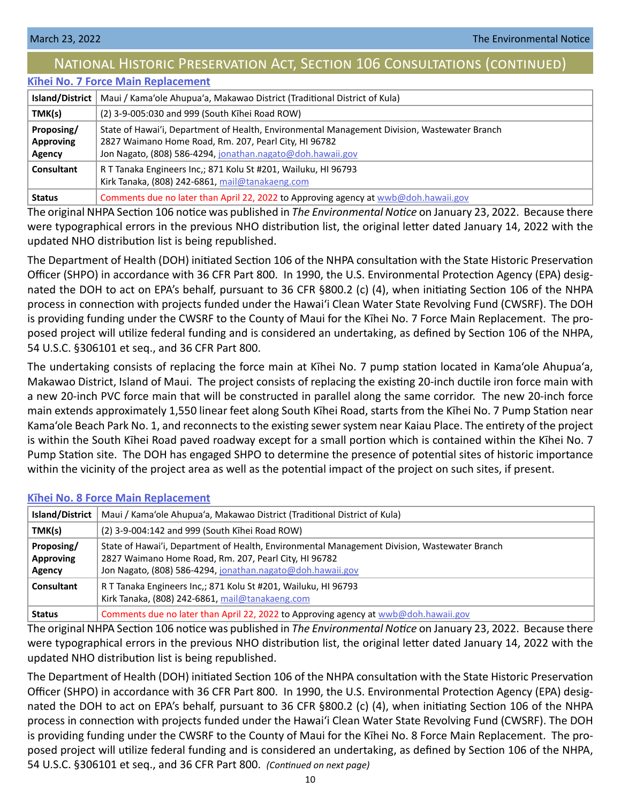# National Historic Preservation Act, Section 106 Consultations (continued)

# **K[īhei No. 7 Force Main Replacement](https://files.hawaii.gov/dbedt/erp/Other_TEN_Publications/2022-03-23-MA-Section-106-Kihei-No.-7-Force-Main-Replacement.pdf)**

| <b>Island/District</b>                   | Maui / Kama'ole Ahupua'a, Makawao District (Traditional District of Kula)                                                                                                                                           |
|------------------------------------------|---------------------------------------------------------------------------------------------------------------------------------------------------------------------------------------------------------------------|
| TMK(s)                                   | (2) 3-9-005:030 and 999 (South Kihei Road ROW)                                                                                                                                                                      |
| Proposing/<br><b>Approving</b><br>Agency | State of Hawai'i, Department of Health, Environmental Management Division, Wastewater Branch<br>2827 Waimano Home Road, Rm. 207, Pearl City, HI 96782<br>Jon Nagato, (808) 586-4294, jonathan.nagato@doh.hawaii.gov |
| Consultant                               | R T Tanaka Engineers Inc,; 871 Kolu St #201, Wailuku, HI 96793<br>Kirk Tanaka, (808) 242-6861, mail@tanakaeng.com                                                                                                   |
| <b>Status</b>                            | Comments due no later than April 22, 2022 to Approving agency at wwb@doh.hawaii.gov                                                                                                                                 |

The original NHPA Section 106 notice was published in *The Environmental Notice* on January 23, 2022. Because there were typographical errors in the previous NHO distribution list, the original letter dated January 14, 2022 with the updated NHO distribution list is being republished.

The Department of Health (DOH) initiated Section 106 of the NHPA consultation with the State Historic Preservation Officer (SHPO) in accordance with 36 CFR Part 800. In 1990, the U.S. Environmental Protection Agency (EPA) designated the DOH to act on EPA's behalf, pursuant to 36 CFR §800.2 (c) (4), when initiating Section 106 of the NHPA process in connection with projects funded under the Hawai'i Clean Water State Revolving Fund (CWSRF). The DOH is providing funding under the CWSRF to the County of Maui for the Kīhei No. 7 Force Main Replacement. The proposed project will utilize federal funding and is considered an undertaking, as defined by Section 106 of the NHPA, 54 U.S.C. §306101 et seq., and 36 CFR Part 800.

The undertaking consists of replacing the force main at Kīhei No. 7 pump station located in Kama'ole Ahupua'a, Makawao District, Island of Maui. The project consists of replacing the existing 20-inch ductile iron force main with a new 20-inch PVC force main that will be constructed in parallel along the same corridor. The new 20-inch force main extends approximately 1,550 linear feet along South Kīhei Road, starts from the Kīhei No. 7 Pump Station near Kama'ole Beach Park No. 1, and reconnects to the existing sewer system near Kaiau Place. The entirety of the project is within the South Kīhei Road paved roadway except for a small portion which is contained within the Kīhei No. 7 Pump Station site. The DOH has engaged SHPO to determine the presence of potential sites of historic importance within the vicinity of the project area as well as the potential impact of the project on such sites, if present.

#### **K[īhei No. 8 Force Main Replacement](https://files.hawaii.gov/dbedt/erp/Other_TEN_Publications/2022-03-23-MA-Section-106-Kihei-No.-8-Force-Main-Replacement.pdf)**

| Island/District                          | Maui / Kama'ole Ahupua'a, Makawao District (Traditional District of Kula)                                                                                                                                           |
|------------------------------------------|---------------------------------------------------------------------------------------------------------------------------------------------------------------------------------------------------------------------|
| TMK(s)                                   | (2) 3-9-004:142 and 999 (South Kihei Road ROW)                                                                                                                                                                      |
| Proposing/<br><b>Approving</b><br>Agency | State of Hawai'i, Department of Health, Environmental Management Division, Wastewater Branch<br>2827 Waimano Home Road, Rm. 207, Pearl City, HI 96782<br>Jon Nagato, (808) 586-4294, jonathan.nagato@doh.hawaii.gov |
| Consultant                               | R T Tanaka Engineers Inc,; 871 Kolu St #201, Wailuku, HI 96793<br>Kirk Tanaka, (808) 242-6861, mail@tanakaeng.com                                                                                                   |
| <b>Status</b>                            | Comments due no later than April 22, 2022 to Approving agency at wwb@doh.hawaii.gov                                                                                                                                 |

The original NHPA Section 106 notice was published in *The Environmental Notice* on January 23, 2022. Because there were typographical errors in the previous NHO distribution list, the original letter dated January 14, 2022 with the updated NHO distribution list is being republished.

The Department of Health (DOH) initiated Section 106 of the NHPA consultation with the State Historic Preservation Officer (SHPO) in accordance with 36 CFR Part 800. In 1990, the U.S. Environmental Protection Agency (EPA) designated the DOH to act on EPA's behalf, pursuant to 36 CFR §800.2 (c) (4), when initiating Section 106 of the NHPA process in connection with projects funded under the Hawai'i Clean Water State Revolving Fund (CWSRF). The DOH is providing funding under the CWSRF to the County of Maui for the Kīhei No. 8 Force Main Replacement. The proposed project will utilize federal funding and is considered an undertaking, as defined by Section 106 of the NHPA, 54 U.S.C. §306101 et seq., and 36 CFR Part 800. *(Continued on next page)*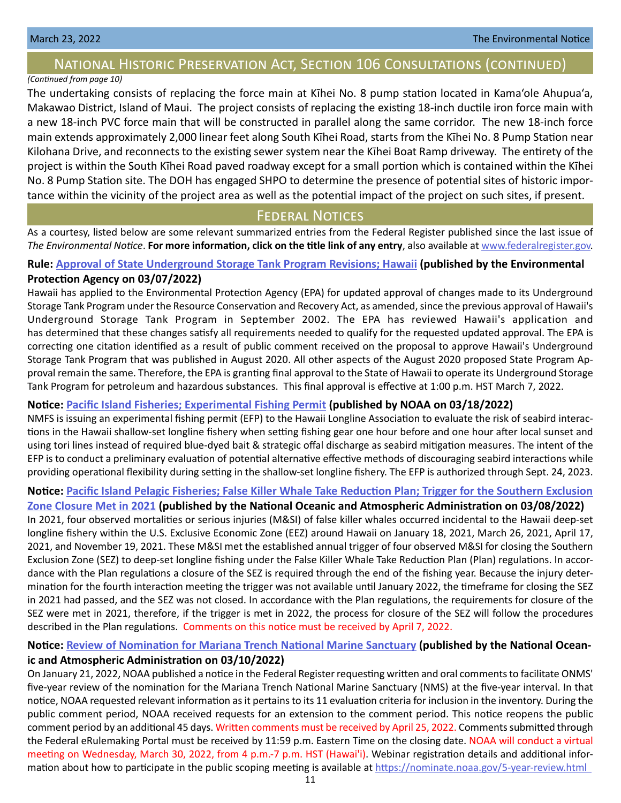# <span id="page-10-0"></span>National Historic Preservation Act, Section 106 Consultations (continued)

# *(Continued from page 10)*

The undertaking consists of replacing the force main at Kīhei No. 8 pump station located in Kama'ole Ahupua'a, Makawao District, Island of Maui. The project consists of replacing the existing 18-inch ductile iron force main with a new 18-inch PVC force main that will be constructed in parallel along the same corridor. The new 18-inch force main extends approximately 2,000 linear feet along South Kīhei Road, starts from the Kīhei No. 8 Pump Station near Kilohana Drive, and reconnects to the existing sewer system near the Kīhei Boat Ramp driveway. The entirety of the project is within the South Kīhei Road paved roadway except for a small portion which is contained within the Kīhei No. 8 Pump Station site. The DOH has engaged SHPO to determine the presence of potential sites of historic importance within the vicinity of the project area as well as the potential impact of the project on such sites, if present.

# **FEDERAL NOTICES**

As a courtesy, listed below are some relevant summarized entries from the Federal Register published since the last issue of *The Environmental Notice*. **For more information, click on the title link of any entry**, also available at [www.federalregister.gov](http://www.federalregister.gov).

# **Rule: [Approval of State Underground Storage Tank Program Revisions; Hawaii](https://www.federalregister.gov/documents/2022/03/07/2022-04723/approval-of-state-underground-storage-tank-program-revisions-hawaii) (published by the Environmental Protection Agency on 03/07/2022)**

Hawaii has applied to the Environmental Protection Agency (EPA) for updated approval of changes made to its Underground Storage Tank Program under the Resource Conservation and Recovery Act, as amended, since the previous approval of Hawaii's Underground Storage Tank Program in September 2002. The EPA has reviewed Hawaii's application and has determined that these changes satisfy all requirements needed to qualify for the requested updated approval. The EPA is correcting one citation identified as a result of public comment received on the proposal to approve Hawaii's Underground Storage Tank Program that was published in August 2020. All other aspects of the August 2020 proposed State Program Approval remain the same. Therefore, the EPA is granting final approval to the State of Hawaii to operate its Underground Storage Tank Program for petroleum and hazardous substances. This final approval is effective at 1:00 p.m. HST March 7, 2022.

## **Notice: [Pacific Island Fisheries; Experimental Fishing Permit](https://www.federalregister.gov/documents/2022/03/18/2022-05768/pacific-island-fisheries-experimental-fishing-permit) (published by NOAA on 03/18/2022)**

NMFS is issuing an experimental fishing permit (EFP) to the Hawaii Longline Association to evaluate the risk of seabird interactions in the Hawaii shallow-set longline fishery when setting fishing gear one hour before and one hour after local sunset and using tori lines instead of required blue-dyed bait & strategic offal discharge as seabird mitigation measures. The intent of the EFP is to conduct a preliminary evaluation of potential alternative effective methods of discouraging seabird interactions while providing operational flexibility during setting in the shallow-set longline fishery. The EFP is authorized through Sept. 24, 2023.

# **Notice: [Pacific Island Pelagic Fisheries; False Killer Whale Take Reduction Plan; Trigger for the Southern Exclusion](https://www.federalregister.gov/documents/2022/03/08/2022-04869/pacific-island-pelagic-fisheries-false-killer-whale-take-reduction-plan-trigger-for-the-southern)**

**[Zone Closure Met in 2021](https://www.federalregister.gov/documents/2022/03/08/2022-04869/pacific-island-pelagic-fisheries-false-killer-whale-take-reduction-plan-trigger-for-the-southern) (published by the National Oceanic and Atmospheric Administration on 03/08/2022)** In 2021, four observed mortalities or serious injuries (M&SI) of false killer whales occurred incidental to the Hawaii deep-set longline fishery within the U.S. Exclusive Economic Zone (EEZ) around Hawaii on January 18, 2021, March 26, 2021, April 17, 2021, and November 19, 2021. These M&SI met the established annual trigger of four observed M&SI for closing the Southern Exclusion Zone (SEZ) to deep-set longline fishing under the False Killer Whale Take Reduction Plan (Plan) regulations. In accordance with the Plan regulations a closure of the SEZ is required through the end of the fishing year. Because the injury determination for the fourth interaction meeting the trigger was not available until January 2022, the timeframe for closing the SEZ in 2021 had passed, and the SEZ was not closed. In accordance with the Plan regulations, the requirements for closure of the SEZ were met in 2021, therefore, if the trigger is met in 2022, the process for closure of the SEZ will follow the procedures described in the Plan regulations. Comments on this notice must be received by April 7, 2022.

# **Notice: [Review of Nomination for Mariana Trench National Marine Sanctuary](https://www.federalregister.gov/documents/2022/03/10/2022-05114/review-of-nomination-for-mariana-trench-national-marine-sanctuary) (published by the National Oceanic and Atmospheric Administration on 03/10/2022)**

On January 21, 2022, NOAA published a notice in the Federal Register requesting written and oral comments to facilitate ONMS' five-year review of the nomination for the Mariana Trench National Marine Sanctuary (NMS) at the five-year interval. In that notice, NOAA requested relevant information as it pertains to its 11 evaluation criteria for inclusion in the inventory. During the public comment period, NOAA received requests for an extension to the comment period. This notice reopens the public comment period by an additional 45 days. Written comments must be received by April 25, 2022. Comments submitted through the Federal eRulemaking Portal must be received by 11:59 p.m. Eastern Time on the closing date. NOAA will conduct a virtual meeting on Wednesday, March 30, 2022, from 4 p.m.-7 p.m. HST (Hawai'i). Webinar registration details and additional information about how to participate in the public scoping meeting is available at [https://nominate.noaa.gov/5-year-review.html](https://nominate.noaa.gov/ 5-year-review.html   )